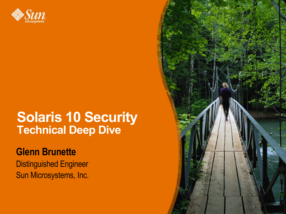

#### **Solaris 10 Security Technical Deep Dive**

#### **Glenn Brunette**

Distinguished Engineer Sun Microsystems, Inc.

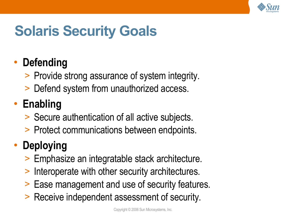

# **Solaris Security Goals**

#### • **Defending**

- > Provide strong assurance of system integrity.
- > Defend system from unauthorized access.

#### • **Enabling**

- > Secure authentication of all active subjects.
- > Protect communications between endpoints.

#### • **Deploying**

- > Emphasize an integratable stack architecture.
- > Interoperate with other security architectures.
- > Ease management and use of security features.
- > Receive independent assessment of security.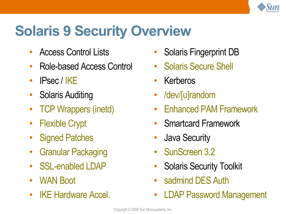

### **Solaris 9 Security Overview**

- Access Control Lists
- Role-based Access Control
- $\cdot$  IPsec / IKE
- Solaris Auditing
- TCP Wrappers (inetd)
- Flexible Crypt
- Signed Patches
- Granular Packaging
- SSL-enabled LDAP
- WAN Boot
- **IKE Hardware Accel.**
- Solaris Fingerprint DB
- Solaris Secure Shell
- Kerberos
- /dev/[u]random
- Enhanced PAM Framework
- Smartcard Framework
- Java Security
- SunScreen 3.2
- Solaris Security Toolkit
- sadmind DES Auth
- **LDAP Password Management**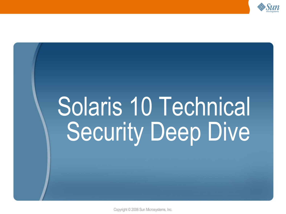

# Solaris 10 Technical Security Deep Dive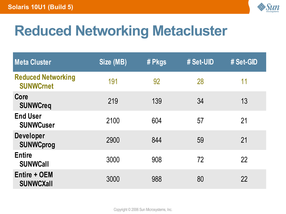

# **Reduced Networking Metacluster**

| <b>Meta Cluster</b>                           | Size (MB) | # Pkgs | # Set-UID | # Set-GID |
|-----------------------------------------------|-----------|--------|-----------|-----------|
| <b>Reduced Networking</b><br><b>SUNWCrnet</b> | 191       | 92     | 28        | 11        |
| Core<br><b>SUNWCreq</b>                       | 219       | 139    | 34        | 13        |
| <b>End User</b><br><b>SUNWCuser</b>           | 2100      | 604    | 57        | 21        |
| <b>Developer</b><br><b>SUNWCprog</b>          | 2900      | 844    | 59        | 21        |
| <b>Entire</b><br><b>SUNWCall</b>              | 3000      | 908    | 72        | 22        |
| <b>Entire + OEM</b><br><b>SUNWCXall</b>       | 3000      | 988    | 80        | 22        |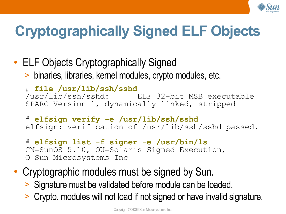

# **Cryptographically Signed ELF Objects**

• ELF Objects Cryptographically Signed > binaries, libraries, kernel modules, crypto modules, etc.

# **file /usr/lib/ssh/sshd** /usr/lib/ssh/sshd: ELF 32-bit MSB executable SPARC Version 1, dynamically linked, stripped

# **elfsign verify -e /usr/lib/ssh/sshd** elfsign: verification of /usr/lib/ssh/sshd passed.

- # **elfsign list -f signer -e /usr/bin/ls** CN=SunOS 5.10, OU=Solaris Signed Execution, O=Sun Microsystems Inc
- Cryptographic modules must be signed by Sun.
	- > Signature must be validated before module can be loaded.
	- > Crypto. modules will not load if not signed or have invalid signature.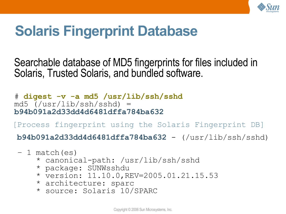

#### **Solaris Fingerprint Database**

Searchable database of MD5 fingerprints for files included in Solaris, Trusted Solaris, and bundled software.

# **digest -v -a md5 /usr/lib/ssh/sshd** md5 (/usr/lib/ssh/sshd) = **b94b091a2d33dd4d6481dffa784ba632**

[Process fingerprint using the Solaris Fingerprint DB]

**b94b091a2d33dd4d6481dffa784ba632** - (/usr/lib/ssh/sshd)

- 1 match(es)
	- \* canonical-path: /usr/lib/ssh/sshd
	- \* package: SUNWsshdu
	- \* version: 11.10.0,REV=2005.01.21.15.53
	- \* architecture: sparc
	- \* source: Solaris 10/SPARC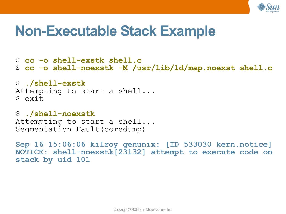

#### **Non-Executable Stack Example**

\$ **cc -o shell-exstk shell.c** \$ **cc -o shell-noexstk -M /usr/lib/ld/map.noexst shell.c**

\$ **./shell-exstk** Attempting to start a shell... \$ exit

\$ **./shell-noexstk** Attempting to start a shell... Segmentation Fault(coredump)

**Sep 16 15:06:06 kilroy genunix: [ID 533030 kern.notice] NOTICE: shell-noexstk[23132] attempt to execute code on stack by uid 101**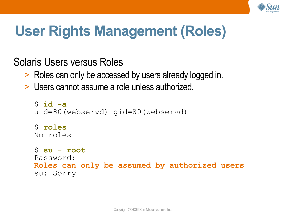

# **User Rights Management (Roles)**

Solaris Users versus Roles

- > Roles can only be accessed by users already logged in.
- > Users cannot assume a role unless authorized.

```
$ id -a
uid=80(webservd) gid=80(webservd)
$ roles
No roles
$ su - root
Password:
Roles can only be assumed by authorized users
su: Sorry
```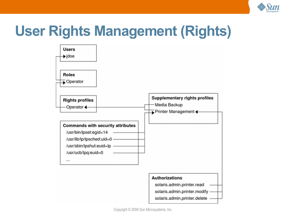

## **User Rights Management (Rights)**

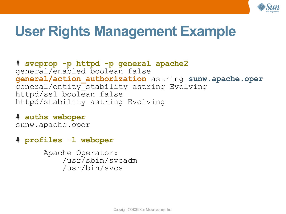

#### **User Rights Management Example**

# **svcprop -p httpd -p general apache2** general/enabled boolean false **general/action\_authorization** astring **sunw.apache.oper** general/entity\_stability astring Evolving httpd/ssl boolean false httpd/stability astring Evolving

# **auths weboper** sunw.apache.oper

# **profiles -l weboper**

Apache Operator: /usr/sbin/svcadm /usr/bin/svcs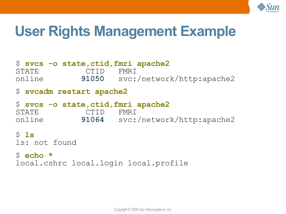

#### **User Rights Management Example**

#### \$ **svcs -o state,ctid,fmri apache2** STATE CTID FMRI online **91050** svc:/network/http:apache2 \$ **svcadm restart apache2** \$ **svcs -o state,ctid,fmri apache2** STATE CTID FMRI online **91064** svc:/network/http:apache2 \$ **ls** ls: not found \$ **echo \***

local.cshrc local.login local.profile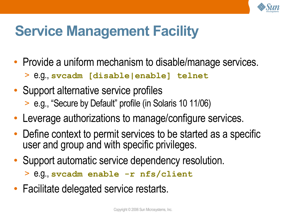

# **Service Management Facility**

- Provide a uniform mechanism to disable/manage services.
	- > e.g., **svcadm [disable|enable] telnet**
- Support alternative service profiles > e.g., "Secure by Default" profile (in Solaris 10 11/06)
- Leverage authorizations to manage/configure services.
- Define context to permit services to be started as a specific user and group and with specific privileges.
- Support automatic service dependency resolution.

> e.g., **svcadm enable -r nfs/client**

• Facilitate delegated service restarts.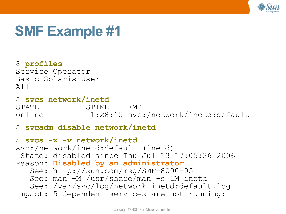

#### **SMF Example #1**

\$ **profiles** Service Operator Basic Solaris User All

\$ **svcs network/inetd** STATE STIME FMRI online 1:28:15 svc:/network/inetd:default

#### \$ **svcadm disable network/inetd**

\$ **svcs -x -v network/inetd** svc:/network/inetd:default (inetd) State: disabled since Thu Jul 13 17:05:36 2006 Reason: **Disabled by an administrator.** See: http://sun.com/msg/SMF-8000-05 See: man -M /usr/share/man -s 1M inetd See: /var/svc/log/network-inetd:default.log Impact: 5 dependent services are not running: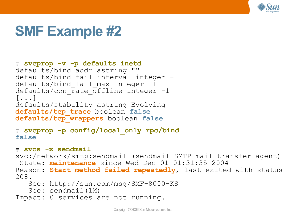

#### **SMF Example #2**

```
# svcprop -v -p defaults inetd
defaults/bind addr astring ""
defaults/bind fail interval integer -1defaults/bind fail max integer -1defaults/con rate offline integer -1
[...]
defaults/stability astring Evolving
defaults/tcp_trace boolean false
defaults/tcp_wrappers boolean false
```

```
# svcprop -p config/local_only rpc/bind
false
```

```
# svcs -x sendmail
```
svc:/network/smtp:sendmail (sendmail SMTP mail transfer agent)

```
 State: maintenance since Wed Dec 01 01:31:35 2004
Reason: Start method failed repeatedly, last exited with status 
208.
```
See: http://sun.com/msg/SMF-8000-KS

```
 See: sendmail(1M)
```

```
Impact: 0 services are not running.
```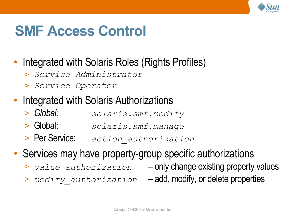

#### **SMF Access Control**

#### • Integrated with Solaris Roles (Rights Profiles)

- > *Service Administrator*
- > *Service Operator*

#### • Integrated with Solaris Authorizations

- > *Global: solaris.smf.modify*
- > Global: *solaris.smf.manage*
- > Per Service: *action\_authorization*
- Services may have property-group specific authorizations
	- > *value\_authorization* only change existing property values
- - > *modify\_authorization* add, modify, or delete properties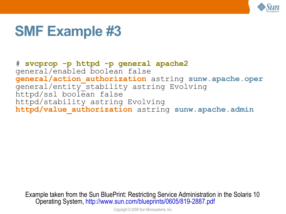

#### **SMF Example #3**

# **svcprop -p httpd -p general apache2** general/enabled boolean false **general/action\_authorization** astring **sunw.apache.oper** general/entity\_stability astring Evolving httpd/ssl boolean false httpd/stability astring Evolving **httpd/value\_authorization** astring **sunw.apache.admin**

Example taken from the Sun BluePrint: Restricting Service Administration in the Solaris 10 Operating System, <http://www.sun.com/blueprints/0605/819-2887.pdf>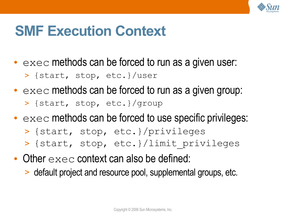

#### **SMF Execution Context**

- $\bullet$  exec methods can be forced to run as a given user:
	- > {start, stop, etc.}/user
- $\bullet$  exec methods can be forced to run as a given group: > {start, stop, etc.}/group
- $\bullet$  exec methods can be forced to use specific privileges:
	- > {start, stop, etc.}/privileges
	- > {start, stop, etc.}/limit\_privileges
- Other  $e \times e \subset$  context can also be defined:
	- > default project and resource pool, supplemental groups, etc.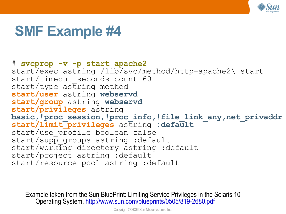

#### **SMF Example #4**

#### # **svcprop -v -p start apache2** start/exec astring /lib/svc/method/http-apache2\ start start/timeout seconds count 60  $start/type$  astring method **start/user** astring **webservd start/group** astring **webservd start/privileges** astring basic, !proc\_session, !proc\_info, !file\_link\_any,net\_privaddr **start/limit\_privileges** astring **:default** start/use profile boolean false start/supp groups astring :default start/working directory astring :default start/project astring :default start/resource pool astring :default

Example taken from the Sun BluePrint: Limiting Service Privileges in the Solaris 10 Operating System, <http://www.sun.com/blueprints/0505/819-2680.pdf>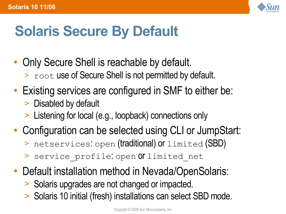

# **Solaris Secure By Default**

- Only Secure Shell is reachable by default. > root use of Secure Shell is not permitted by default.
- Existing services are configured in SMF to either be:
	- > Disabled by default
	- > Listening for local (e.g., loopback) connections only
- Configuration can be selected using CLI or JumpStart:
	- > netservices: open (traditional) or limited (SBD)
	- > service profile: open Of limited net
- Default installation method in Nevada/OpenSolaris:
	- > Solaris upgrades are not changed or impacted.
	- > Solaris 10 initial (fresh) installations can select SBD mode.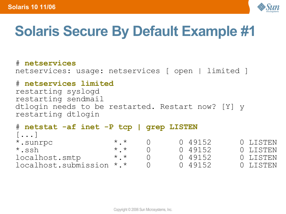

# **Solaris Secure By Default Example #1**

# **netservices** netservices: usage: netservices [ open | limited ]

#### # **netservices limited**

restarting syslogd restarting sendmail dtlogin needs to be restarted. Restart now? [Y] y restarting dtlogin

| # netstat -af inet -P tcp   grep LISTEN |                 |         |          |
|-----------------------------------------|-----------------|---------|----------|
| $[\ldots]$                              |                 |         |          |
| *.sunrpc                                | $\star$ $\star$ | 0 49152 | 0 LISTEN |
| $\star$ .ssh                            | $\star$ $\star$ | 0 49152 | 0 LISTEN |
| localhost.smtp                          | $\star$ $\star$ | 0 49152 | 0 LISTEN |
| localhost.submission *.*                |                 | 0 49152 | O LISTEN |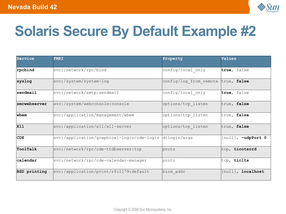

# **Solaris Secure By Default Example #2**

| Service      | <b>FMRI</b>                                             | Property               | Values             |
|--------------|---------------------------------------------------------|------------------------|--------------------|
| rpcbind      | svc:/network/rpc/bind                                   | config/local only      | true, false        |
| syslog       | svc:/system/system-log                                  | config/log from remote | true, false        |
| sendmail     | svc:/network/smtp:sendmail                              | config/local only      | true, false        |
| smcwebserver | svc:/system/webconsole:console                          | options/tcp listen     | true, false        |
| wbem         | svc:/application/management/wbem                        | options/tcp listen     | true, false        |
| <b>X11</b>   | svc:/application/x11/x11-server                         | options/tcp listen     | true, false        |
| CDE          | svc:/application/graphical-login/cde-login dtlogin/args |                        | [null], -udpPort 0 |
| ToolTalk     | svc:/network/rpc/cde-ttdbserver:tcp                     | proto                  | tcp, ticotsord     |
| calendar     | svc:/network/rpc/cde-calendar-manager                   | proto                  | tcp, ticlts        |
| BSD printing | svc:/application/print/rfc1179:default                  | bind addr              | [null], localhost  |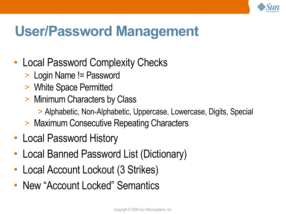

### **User/Password Management**

- Local Password Complexity Checks
	- > Login Name != Password
	- > White Space Permitted
	- > Minimum Characters by Class
		- > Alphabetic, Non-Alphabetic, Uppercase, Lowercase, Digits, Special
	- > Maximum Consecutive Repeating Characters
- Local Password History
- Local Banned Password List (Dictionary)
- Local Account Lockout (3 Strikes)
- New "Account Locked" Semantics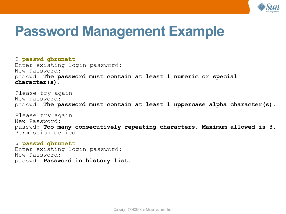

#### **Password Management Example**

\$ **passwd gbrunett** Enter existing login password: New Password: passwd: **The password must contain at least 1 numeric or special character(s).**

Please try again New Password: passwd: **The password must contain at least 1 uppercase alpha character(s).**

Please try again New Password: passwd: **Too many consecutively repeating characters. Maximum allowed is 3.** Permission denied

\$ **passwd gbrunett** Enter existing login password:

New Password: passwd: **Password in history list.**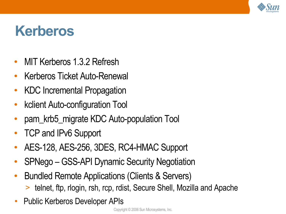

#### **Kerberos**

- MIT Kerberos 1.3.2 Refresh
- **Kerberos Ticket Auto-Renewal**
- KDC Incremental Propagation
- kclient Auto-configuration Tool
- pam krb5 migrate KDC Auto-population Tool
- TCP and IPv6 Support
- AES-128, AES-256, 3DES, RC4-HMAC Support
- SPNego GSS-API Dynamic Security Negotiation
- Bundled Remote Applications (Clients & Servers)
	- > telnet, ftp, rlogin, rsh, rcp, rdist, Secure Shell, Mozilla and Apache
- Public Kerberos Developer APIs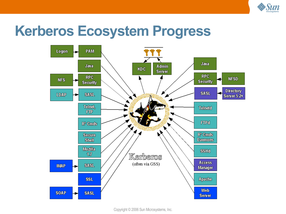

#### **Kerberos Ecosystem Progress**

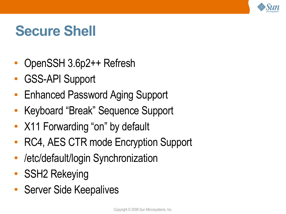

#### **Secure Shell**

- OpenSSH 3.6p2++ Refresh
- **GSS-API Support**
- Enhanced Password Aging Support
- Keyboard "Break" Sequence Support
- X11 Forwarding "on" by default
- RC4, AES CTR mode Encryption Support
- /etc/default/login Synchronization
- SSH2 Rekeying
- Server Side Keepalives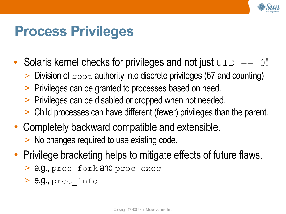

#### **Process Privileges**

- Solaris kernel checks for privileges and not just  $UD == 0!$ 
	- $>$  Division of  $_{\text{root}}$  authority into discrete privileges (67 and counting)
	- > Privileges can be granted to processes based on need.
	- > Privileges can be disabled or dropped when not needed.
	- > Child processes can have different (fewer) privileges than the parent.
- Completely backward compatible and extensible. > No changes required to use existing code.
- Privilege bracketing helps to mitigate effects of future flaws.
	- > e.g., proc\_fork and proc\_exec
	- > e.g., proc\_info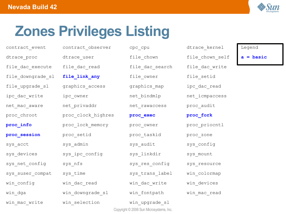

# **Zones Privileges Listing**

contract event contract observer cpc cpu atrace kernel Legend dtrace proc dtrace user file chown file chown self **a = basic** file dac execute file dac read file dac search file dac write file downgrade sl **file link any** file owner file setid file upgrade sl graphics access graphics map ipc dac read ipc dac write ipc owner into the bindmlp into idmpaccess net mac aware ant privaddr som that rawaccess procaudit proc\_chroot **proc\_clock\_highres proc\_exec <b>proc\_fork proc\_info** proc\_lock\_memory proc\_owner proc\_priocntl **proc\_session** proc\_setid proc\_taskid proc\_zone sys acct sys admin syss and it sys config sys devices sys ipc config sys linkdir sys mount sys net config sys nfs sys sys res config sys resource sys suser compat sys time sys trans label win colormap win config win dac read win dac write win devices win dga win downgrade sl win fontpath win mac read win mac write win selection win upgrade sl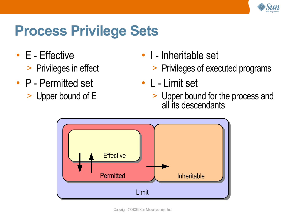

#### **Process Privilege Sets**

- E Effective
	- > Privileges in effect
- P Permitted set
	- > Upper bound of E
- I Inheritable set
	- > Privileges of executed programs
- L Limit set
	- > Upper bound for the process and all its descendants

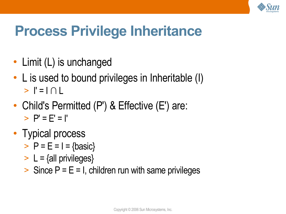

### **Process Privilege Inheritance**

- Limit (L) is unchanged
- L is used to bound privileges in Inheritable (I)  $>$   $\mid$  =  $\mid$   $\cap$   $\mid$
- Child's Permitted (P') & Effective (E') are:  $>$  P' = F' = I'
- Typical process
	- $>$  P = E = I = {basic}
	- $> L = \{$ all privileges $\}$
	- $>$  Since P = E = I, children run with same privileges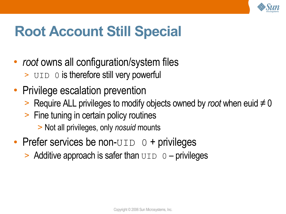

### **Root Account Still Special**

- *root* owns all configuration/system files > UID 0 is therefore still very powerful
- Privilege escalation prevention
	- > Require ALL privileges to modify objects owned by *root* when euid ≠ 0
	- > Fine tuning in certain policy routines
		- > Not all privileges, only *nosuid* mounts
- Prefer services be non- $UID$   $0 +$  privileges
	- $>$  Additive approach is safer than  $UID$   $0$  privileges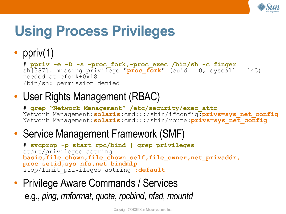

# **Using Process Privileges**

#### • ppriv $(1)$

```
# ppriv -e -D -s -proc_fork,-proc_exec /bin/sh -c finger
sh[387]: missing privilege "proc fork" (euid = 0, syscall = 143)
needed at cfork+0x18
/bin/sh: permission denied
```
#### • User Rights Management (RBAC)

# **grep "Network Management" /etc/security/exec\_attr** Network Management:**solaris**:cmd:::/sbin/ifconfig:**privs=sys\_net\_config** Network Management:**solaris**:cmd:::/sbin/route:**privs=sys\_net\_config**

#### • Service Management Framework (SMF)

```
# svcprop -p start rpc/bind | grep privileges
start/privileges astring
basic,file_chown,file_chown_self,file_owner,net_privaddr,
proc_setid, sys_nfs,net_bindmlp
stop/limit privileges astring : default
```
#### • Privilege Aware Commands / Services

e.g., *ping*, *rmformat*, *quota*, *rpcbind*, *nfsd*, *mountd*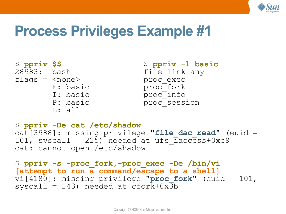

#### **Process Privileges Example #1**

```
$ ppriv $$ $ ppriv -l basic
flags = <none> proc_exec
     L: all
```

```
file link any
E: basic proc_fork
I: basic proc_info
P: basic proc_session
```

```
$ ppriv -De cat /etc/shadow
cat[3988]: missing privilege "file_dac_read" (euid =
101, syscall = 225) needed at ufs \bar{1}access+0xc9
cat: cannot open /etc/shadow
```

```
$ ppriv -s -proc_fork,-proc_exec -De /bin/vi
[attempt to run a command/escape to a shell]
vi[4180]: missing privilege "proc_fork" (euid = 101,
syscall = 143) needed at cfork+0x\overline{3}b
```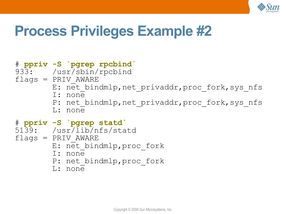

#### **Process Privileges Example #2**

#### # **ppriv -S `pgrep rpcbind`** 933: /usr/sbin/rpcbind  $flags = PRIV$   $AWARE$ E: net bindmlp, net privaddr, proc fork, sys nfs I: none P: net bindmlp, net privaddr, proc fork, sys nfs L: none # **ppriv -S `pgrep statd`** 5139: /usr/lib/nfs/statd  $flags = PRIV$   $AWARE$ E: net bindmlp, proc fork I: none P: net bindmlp, proc fork

L: none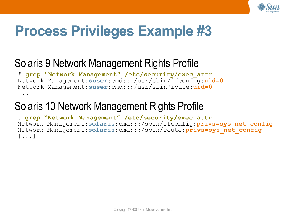

### **Process Privileges Example #3**

#### Solaris 9 Network Management Rights Profile

# **grep "Network Management" /etc/security/exec\_attr** Network Management:**suser**:cmd:::/usr/sbin/ifconfig:**uid=0** Network Management:**suser**:cmd:::/usr/sbin/route:**uid=0** [...]

#### Solaris 10 Network Management Rights Profile

# **grep "Network Management" /etc/security/exec\_attr** Network Management:**solaris**:cmd:::/sbin/ifconfig:**privs=sys\_net\_config** Network Management:**solaris**:cmd:::/sbin/route:**privs=sys\_net\_config**  $\lceil \ldots \rceil$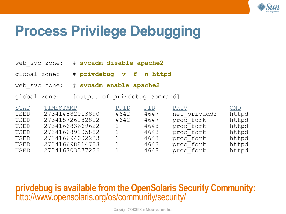

#### **Process Privilege Debugging**

| web svc zone: # svcadm disable apache2 |
|----------------------------------------|
|----------------------------------------|

- global zone: # **privdebug -v -f -n httpd**
- web\_svc zone: # **svcadm enable apache2**
- global zone: [output of privdebug command]

| TIMESTAMP       | PPID | PID  | PRIV      | $\overline{\text{CMD}}$ |
|-----------------|------|------|-----------|-------------------------|
| 273414882013890 | 4642 | 4647 |           | httpd                   |
| 273415726182812 | 4642 | 4647 | proc fork | httpd                   |
| 273416683669622 |      | 4648 | proc fork | httpd                   |
| 273416689205882 |      | 4648 | proc fork | httpd                   |
| 273416694002223 |      | 4648 | proc fork | httpd                   |
| 273416698814788 |      | 4648 | proc fork | httpd                   |
| 273416703377226 |      | 4648 | proc fork | httpd                   |
|                 |      |      |           | net privaddr            |

#### **privdebug is available from the OpenSolaris Security Community:** <http://www.opensolaris.org/os/community/security/>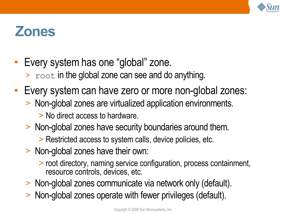

#### **Zones**

- Every system has one "global" zone.
	- $\ge$  root in the global zone can see and do anything.
- Every system can have zero or more non-global zones:
	- > Non-global zones are virtualized application environments.
		- > No direct access to hardware.
	- > Non-global zones have security boundaries around them.
		- > Restricted access to system calls, device policies, etc.
	- > Non-global zones have their own:
		- > root directory, naming service configuration, process containment, resource controls, devices, etc.
	- > Non-global zones communicate via network only (default).
	- > Non-global zones operate with fewer privileges (default).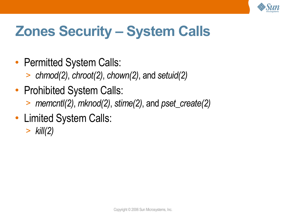

# **Zones Security – System Calls**

- Permitted System Calls:
	- > *chmod(2)*, *chroot(2)*, *chown(2)*, and *setuid(2)*
- Prohibited System Calls:
	- > *memcntl(2)*, *mknod(2)*, *stime(2)*, and *pset\_create(2)*
- Limited System Calls:
	- > *kill(2)*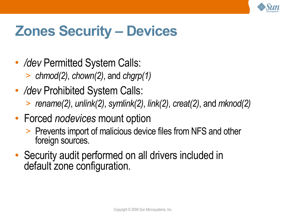

### **Zones Security – Devices**

- */dev* Permitted System Calls:
	- > *chmod(2)*, *chown(2)*, and *chgrp(1)*
- */dev* Prohibited System Calls:
	- > *rename(2)*, *unlink(2)*, *symlink(2)*, *link(2)*, *creat(2)*, and *mknod(2)*
- Forced *nodevices* mount option
	- > Prevents import of malicious device files from NFS and other foreign sources.
- Security audit performed on all drivers included in default zone configuration.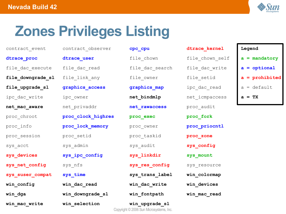

### **Zones Privileges Listing**

| CONCTACT CACHE    | CONCTACE ONDETACT  | opo opu                                                  | acrace verner   | negena           |
|-------------------|--------------------|----------------------------------------------------------|-----------------|------------------|
| dtrace proc       | dtrace user        | file chown                                               | file chown self | $a =$ mandatory  |
| file dac execute  | file dac read      | file dac search                                          | file dac write  | $a =$ optional   |
| file_downgrade_sl | file link any      | file owner                                               | file setid      | $a =$ prohibited |
| file_upgrade_sl   | graphics access    | graphics map                                             | ipc dac read    | $a = default$    |
| ipc dac write     | ipc owner          | net bindmlp                                              | net icmpaccess  | $a = TX$         |
| net mac aware     | net privaddr       | net rawaccess                                            | proc audit      |                  |
| proc_chroot       | proc clock highres | proc exec                                                | proc fork       |                  |
| proc info         | proc lock memory   | proc owner                                               | proc priocntl   |                  |
| proc session      | proc setid         | proc taskid                                              | proc zone       |                  |
| sys acct          | sys_admin          | sys_audit                                                | sys_config      |                  |
| sys_devices       | sys_ipc_config     | sys_linkdir                                              | sys mount       |                  |
| sys net config    | sys_nfs            | sys res config                                           | sys resource    |                  |
| sys suser compat  | sys_time           | sys_trans_label                                          | win colormap    |                  |
| win_config        | win dac read       | win_dac_write                                            | win_devices     |                  |
| win dga           | win downgrade sl   | win fontpath                                             | win mac read    |                  |
| win mac write     | win selection      | win upgrade sl<br>Convright @ 2006 Sun Microsystams Inc. |                 |                  |

| contract event    | contract observer  | cpc cpu                                                   | dtrace kernel   | Legend    |
|-------------------|--------------------|-----------------------------------------------------------|-----------------|-----------|
| dtrace proc       | dtrace user        | file chown                                                | file chown self | $a = ma$  |
| file dac execute  | file dac read      | file dac search                                           | file dac write  | $a = opt$ |
| file downgrade sl | file_link_any      | file owner                                                | file_setid      | $a = pr$  |
| file upgrade sl   | graphics access    | graphics_map                                              | ipc dac read    | $a = de1$ |
| ipc dac write     | ipc owner          | net bindmlp                                               | net icmpaccess  | $a = TX$  |
| net mac aware     | net privaddr       | net rawaccess                                             | proc audit      |           |
| proc_chroot       | proc_clock_highres | proc exec                                                 | proc fork       |           |
| proc info         | proc_lock_memory   | proc owner                                                | proc priocntl   |           |
| proc session      | proc_setid         | proc taskid                                               | proc_zone       |           |
| sys acct          | sys_admin          | sys audit                                                 | sys config      |           |
| sys_devices       | sys ipc config     | sys linkdir                                               | sys_mount       |           |
| sys net config    | sys nfs            | sys_res_config                                            | sys resource    |           |
| sys_suser_compat  | sys_time           | sys_trans_label                                           | win colormap    |           |
| win config        | win dac read       | win dac write                                             | win_devices     |           |
| win dga           | win downgrade sl   | win fontpath                                              | win mac read    |           |
| win mac write     | win selection      | win upgrade sl<br>Copyright © 2006 Sun Microsystems, Inc. |                 |           |

| cpc_cpu        |
|----------------|
| file chown     |
| file_dac_searc |
| file_owner     |
| graphics_map   |
| net_bindmlp    |
| net_rawaccess  |
| proc exec      |
| proc_owner     |
| proc_taskid    |
| sys_audit      |
| sys_linkdir    |
| sys_res_config |
| sys_trans_labe |
| win_dac_write  |
| win_fontpath   |
| win upgrade sl |

| trace kernel   |
|----------------|
| ile chown self |
| ile dac write  |
| ile setid      |
| pc dac read    |
| et icmpaccess  |
| roc audit      |
| roc fork       |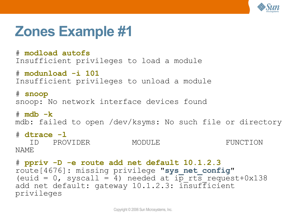

#### **Zones Example #1**

# **modload autofs** Insufficient privileges to load a module

# **modunload -i 101** Insufficient privileges to unload a module

# **snoop** snoop: No network interface devices found

# **mdb -k** mdb: failed to open /dev/ksyms: No such file or directory

# **dtrace -l** ID PROVIDER MODULE FUNCTION NAME

```
# ppriv -D -e route add net default 10.1.2.3
route[4676]: missing privilege "sys_net_config"
(euid = 0, syscall = 4) needed at i\overline{p} rts request+0x138
add net default: gateway 10.1.2.3: insufficient
privileges
```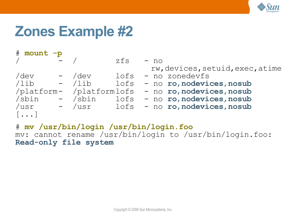

#### **Zones Example #2**

| # mount -p                                               |                          |      |                                  |
|----------------------------------------------------------|--------------------------|------|----------------------------------|
|                                                          |                          | zfs  | $- no$                           |
|                                                          |                          |      | rw, devices, setuid, exec, atime |
| /dev                                                     | $-$ /dev                 | lofs | - no zonedevfs                   |
| $\overline{\phantom{a}}$ /lib – $\overline{\phantom{a}}$ |                          | lofs | - no ro, nodevices, nosub        |
|                                                          | /platform- /platformlofs |      | - no ro, nodevices, nosub        |
| /sbin                                                    | - /sbin                  | lofs | - no ro, nodevices, nosub        |
| /usr                                                     | - /usr                   | lofs | - no ro, nodevices, nosub        |
| $\left[\ldots\right]$                                    |                          |      |                                  |

# **mv /usr/bin/login /usr/bin/login.foo** mv: cannot rename /usr/bin/login to /usr/bin/login.foo: **Read-only file system**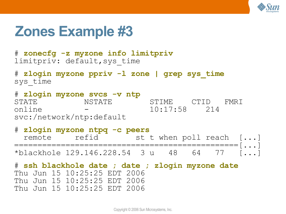

#### **Zones Example #3**

# **zonecfg -z myzone info limitpriv** limitpriv: default,sys\_time

# **zlogin myzone ppriv -l zone | grep sys\_time** sys\_time

# **zlogin myzone svcs -v ntp** STATE NSTATE STIME CTID FMRI online - 10:17:58 214 svc:/network/ntp:default

# **zlogin myzone ntpq -c peers** remote refid st t when poll reach [...] ================================================[...] \*blackhole 129.146.228.54 3 u 48 64 77 [...]

# **ssh blackhole date ; date ; zlogin myzone date** Thu Jun 15 10:25:25 EDT 2006 Thu Jun 15 10:25:25 EDT 2006 Thu Jun 15 10:25:25 EDT 2006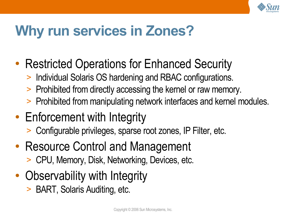

### **Why run services in Zones?**

- Restricted Operations for Enhanced Security
	- > Individual Solaris OS hardening and RBAC configurations.
	- > Prohibited from directly accessing the kernel or raw memory.
	- > Prohibited from manipulating network interfaces and kernel modules.
- Enforcement with Integrity
	- > Configurable privileges, sparse root zones, IP Filter, etc.
- Resource Control and Management
	- > CPU, Memory, Disk, Networking, Devices, etc.
- Observability with Integrity
	- > BART, Solaris Auditing, etc.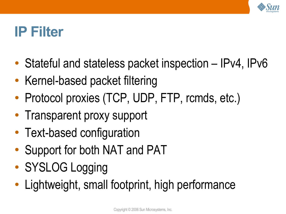

#### **IP Filter**

- Stateful and stateless packet inspection  $-$  IPv4, IPv6
- Kernel-based packet filtering
- Protocol proxies (TCP, UDP, FTP, rcmds, etc.)
- Transparent proxy support
- Text-based configuration
- Support for both NAT and PAT
- SYSLOG Logging
- Lightweight, small footprint, high performance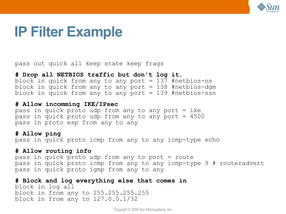

#### **IP Filter Example**

pass out quick all keep state keep frags

**# Drop all NETBIOS traffic but don't log it.** block in quick from any to any port  $= 137$  #netbios-ns block in quick from any to any port  $= 138$  #netbios-dgm block in quick from any to any port  $= 139$  #netbios-ssn

#### **# Allow incomming IKE/IPsec**

pass in quick proto udp from any to any port  $=$  ike pass in quick proto udp from any to any port = 4500 pass in proto esp from any to any

#### **# Allow ping**

pass in quick proto icmp from any to any icmp-type echo

#### **# Allow routing info**

pass in quick proto udp from any to port = route pass in quick proto icmp from any to any icmp-type 9 # routeradvert pass in quick proto igmp from any to any

**# Block and log everything else that comes in** block in log all block in from any to 255.255.255.255 block in from any to 127.0.0.1/32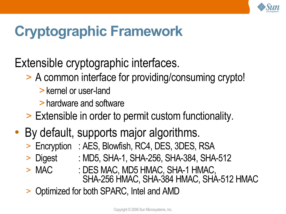

# **Cryptographic Framework**

#### Extensible cryptographic interfaces.

- > A common interface for providing/consuming crypto!
	- >kernel or user-land
	- >hardware and software
- > Extensible in order to permit custom functionality.
- By default, supports major algorithms.
	- > Encryption : AES, Blowfish, RC4, DES, 3DES, RSA
	- > Digest : MD5, SHA-1, SHA-256, SHA-384, SHA-512
	- > MAC : DES MAC, MD5 HMAC, SHA-1 HMAC,
		- SHA-256 HMAC, SHA-384 HMAC, SHA-512 HMAC
	- > Optimized for both SPARC, Intel and AMD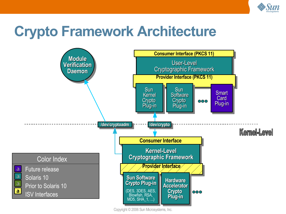

#### **Crypto Framework Architecture**

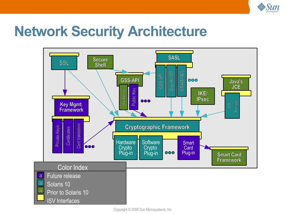

#### **Network Security Architecture**

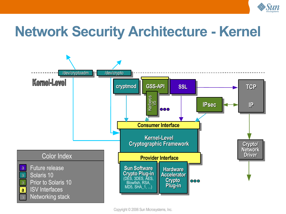

#### **Network Security Architecture - Kernel**

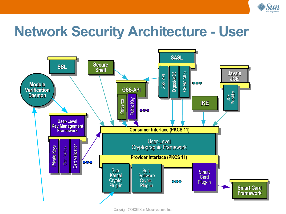

#### **Network Security Architecture - User**

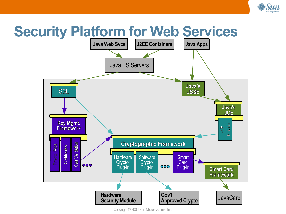

# **Security Platform for Web Services**



Copyright © 2006 Sun Microsystems, Inc.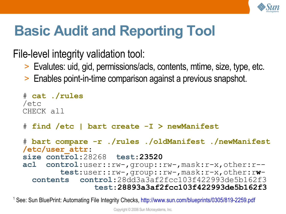

# **Basic Audit and Reporting Tool**

File-level integrity validation tool:

- > Evalutes: uid, gid, permissions/acls, contents, mtime, size, type, etc.
- > Enables point-in-time comparison against a previous snapshot.

```
# cat ./rules
/etc
CHECK all
# find /etc | bart create -I > newManifest
# bart compare -r ./rules ./oldManifest ./newManifest
/etc/user_attr:
size control:28268 test:23520
acl control:user::rw-,group::rw-,mask:r-x,other:r--
        test:user::rw-,group::rw-,mask:r-x,other:rw-
  contents control:28dd3a3af2fcc103f422993de5b162f3
               test:28893a3af2fcc103f422993de5b162f3
```
<sup>1</sup> See: Sun BluePrint: Automating File Integrity Checks, <http://www.sun.com/blueprints/0305/819-2259.pdf>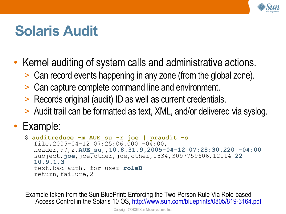

#### **Solaris Audit**

- Kernel auditing of system calls and administrative actions.
	- > Can record events happening in any zone (from the global zone).
	- > Can capture complete command line and environment.
	- > Records original (audit) ID as well as current credentials.
	- > Audit trail can be formatted as text, XML, and/or delivered via syslog.

#### • Example:

```
$ auditreduce -m AUE_su -r joe | praudit -s
  file, 2005-04-12 07:25:06.000 -04:00,
  header,97,2,AUE_su,,10.8.31.9,2005-04-12 07:28:30.220 -04:00
  subject,joe,joe,other,joe,other,1834,3097759606,12114 22
  10.9.1.3
  text,bad auth. for user roleB
  return,failure,2
```
Example taken from the Sun BluePrint: Enforcing the Two-Person Rule Via Role-based Access Control in the Solaris 10 OS, <http://www.sun.com/blueprints/0805/819-3164.pdf>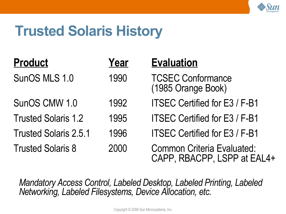

#### **Trusted Solaris History**

| <b>Product</b>               | Year | <b>Evaluation</b>                                                |
|------------------------------|------|------------------------------------------------------------------|
| SunOS MLS 1.0                | 1990 | <b>TCSEC Conformance</b><br>(1985 Orange Book)                   |
| SunOS CMW 1.0                | 1992 | <b>ITSEC Certified for E3 / F-B1</b>                             |
| <b>Trusted Solaris 1.2</b>   | 1995 | <b>ITSEC Certified for E3 / F-B1</b>                             |
| <b>Trusted Solaris 2.5.1</b> | 1996 | <b>ITSEC Certified for E3 / F-B1</b>                             |
| <b>Trusted Solaris 8</b>     | 2000 | <b>Common Criteria Evaluated:</b><br>CAPP, RBACPP, LSPP at EAL4+ |

*Mandatory Access Control, Labeled Desktop, Labeled Printing, Labeled Networking, Labeled Filesystems, Device Allocation, etc.*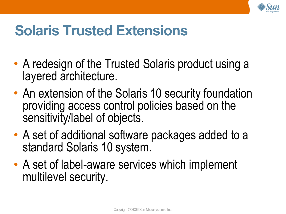

### **Solaris Trusted Extensions**

- A redesign of the Trusted Solaris product using a layered architecture.
- An extension of the Solaris 10 security foundation providing access control policies based on the sensitivity/label of objects.
- A set of additional software packages added to a standard Solaris 10 system.
- A set of label-aware services which implement multilevel security.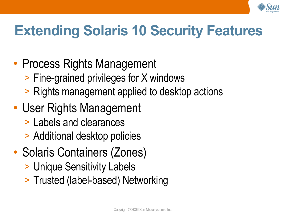

# **Extending Solaris 10 Security Features**

#### • Process Rights Management

- > Fine-grained privileges for X windows
- > Rights management applied to desktop actions

#### • User Rights Management

- > Labels and clearances
- > Additional desktop policies
- Solaris Containers (Zones)
	- > Unique Sensitivity Labels
	- > Trusted (label-based) Networking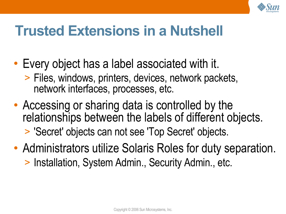

### **Trusted Extensions in a Nutshell**

- Every object has a label associated with it. > Files, windows, printers, devices, network packets, network interfaces, processes, etc.
- Accessing or sharing data is controlled by the relationships between the labels of different objects. > 'Secret' objects can not see 'Top Secret' objects.
- Administrators utilize Solaris Roles for duty separation. > Installation, System Admin., Security Admin., etc.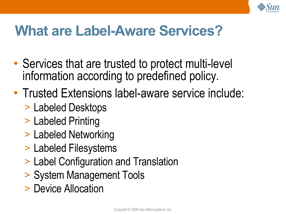

# **What are Label-Aware Services?**

- Services that are trusted to protect multi-level information according to predefined policy.
- Trusted Extensions label-aware service include:
	- > Labeled Desktops
	- > Labeled Printing
	- > Labeled Networking
	- > Labeled Filesystems
	- > Label Configuration and Translation
	- > System Management Tools
	- > Device Allocation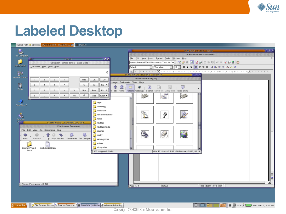

#### **Labeled Desktop**

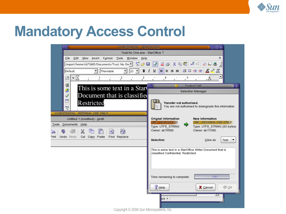

#### **Mandatory Access Control**

| <b>CONFIDENTIAL: RESTRICTED</b>                                                               | $\bigodot \bigcirc \bigcirc$                                                                                                                                                                  |
|-----------------------------------------------------------------------------------------------|-----------------------------------------------------------------------------------------------------------------------------------------------------------------------------------------------|
| Trust No One.sxw - StarOffice 7                                                               |                                                                                                                                                                                               |
| Edit<br>Format Tools Window Help<br>View<br>Insert<br>File                                    | ×                                                                                                                                                                                             |
| /export/home/sb73685/Documents/Trust No On(기 웹 G   圖   团   國   島 鸟   X 暭 (      電   ラ 이 ) 品 승 |                                                                                                                                                                                               |
| $\vert$<br>Thorndale<br>$\mathbf{r}$   22 $\mathbf{r}$  <br>Default                           | 語に住在<br>$\mathbb{Z} \mathbb{Z} \mathbb{Z}$<br>B I U<br>E E E E                                                                                                                                |
| ►⊠⊶<br>$\cdots$ and $\cdots$ are the $2$ since $\mu$<br>鷗                                     | $\cdots \cdots \underline{?} 3 \cdots \cdots \underline{?} \cdots \cdots \underline{?} 4 \cdots \cdots \underline{?} \cdots \cdots \underline{?} 5 \cdots \cdots \underline{?} \cdots \cdots$ |
| 嘗                                                                                             | <b>Trusted Path</b><br>$(\mathbf{x})$                                                                                                                                                         |
| This is some text in a Start<br>B                                                             | Selection Manager                                                                                                                                                                             |
| Document that is classified<br>$\boldsymbol{v}^{\mathrm{b}}$                                  |                                                                                                                                                                                               |
| ᄅ<br>Restricted<br><b>ABIL</b>                                                                | Transfer not authorised.<br>You are not authorised to downgrade this information                                                                                                              |
| CONFIDENTIAL : INTERNAL USE ONLY                                                              |                                                                                                                                                                                               |
| Untitled 1 (modified) - gedit                                                                 | Orignal Information<br><b>New Information</b><br>CNF : INTERNAL USE ONLY<br>CNF : RESTRICTED                                                                                                  |
| Tools Documents Help                                                                          | Type: UTF8 STRING<br>Type: UTF8_STRING (93 bytes)                                                                                                                                             |
| $\mathbb{X}$<br>$\mathbb{Q}^4$                                                                | Owner: sb<br>Owner: sb7                                                                                                                                                                       |
| Cut Copy Paste Find Replace<br>Print Undo Redo                                                | Selection<br>View as:<br>Text<br>$\blacktriangledown$                                                                                                                                         |
|                                                                                               |                                                                                                                                                                                               |
|                                                                                               | This is some text in a StarOffice Writer Document that is<br>classified Confidential: Restricted                                                                                              |
|                                                                                               |                                                                                                                                                                                               |
|                                                                                               |                                                                                                                                                                                               |
|                                                                                               |                                                                                                                                                                                               |
|                                                                                               | Time remaining to complete:<br>1:41                                                                                                                                                           |
|                                                                                               |                                                                                                                                                                                               |
|                                                                                               | $\bigcirc$ ok<br>X Cancel<br>Help                                                                                                                                                             |
|                                                                                               | $NP$ *                                                                                                                                                                                        |
|                                                                                               |                                                                                                                                                                                               |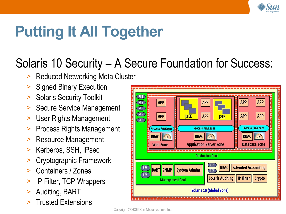

# **Putting It All Together**

#### Solaris 10 Security – A Secure Foundation for Success:

- **Reduced Networking Meta Cluster**
- > Signed Binary Execution
- > Solaris Security Toolkit
- Secure Service Management
- > User Rights Management
- > Process Rights Management
- > Resource Management
- > Kerberos, SSH, IPsec
- > Cryptographic Framework
- > Containers / Zones
- > IP Filter, TCP Wrappers
- > Auditing, BART
- > Trusted Extensions

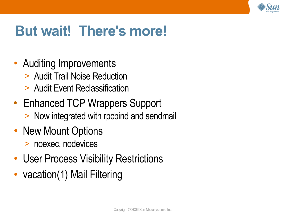

### **But wait! There's more!**

- Auditing Improvements
	- > Audit Trail Noise Reduction
	- > Audit Event Reclassification
- Enhanced TCP Wrappers Support > Now integrated with rpcbind and sendmail
- New Mount Options
	- > noexec, nodevices
- User Process Visibility Restrictions
- vacation(1) Mail Filtering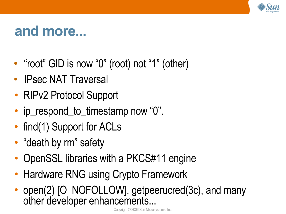

#### **and more...**

- "root" GID is now "0" (root) not "1" (other)
- **IPsec NAT Traversal**
- RIPv2 Protocol Support
- ip\_respond\_to\_timestamp now "0".
- find(1) Support for ACLs
- "death by rm" safety
- OpenSSL libraries with a PKCS#11 engine
- Hardware RNG using Crypto Framework
- open(2) [O\_NOFOLLOW], getpeerucred(3c), and many other developer enhancements...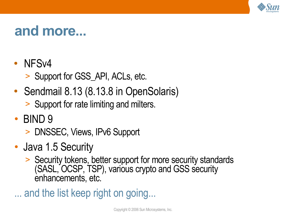

#### **and more...**

- NFSv4
	- > Support for GSS\_API, ACLs, etc.
- Sendmail 8.13 (8.13.8 in OpenSolaris)
	- > Support for rate limiting and milters.
- BIND 9
	- > DNSSEC, Views, IPv6 Support
- Java 1.5 Security
	- > Security tokens, better support for more security standards (SASL, OCSP, TSP), various crypto and GSS security enhancements, etc.
- ... and the list keep right on going...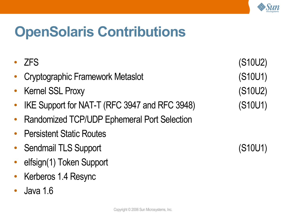

### **OpenSolaris Contributions**

| <b>ZFS</b>                                    | (S10U2) |
|-----------------------------------------------|---------|
| <b>Cryptographic Framework Metaslot</b>       | (S10U1) |
| <b>Kernel SSL Proxy</b>                       | (S10U2) |
| IKE Support for NAT-T (RFC 3947 and RFC 3948) | (S10U1) |
| Randomized TCP/UDP Ephemeral Port Selection   |         |
| • Persistent Static Routes                    |         |
| <b>Sendmail TLS Support</b>                   | (S10U1) |
| elfsign(1) Token Support                      |         |
| Kerberos 1.4 Resync                           |         |

● Java 1.6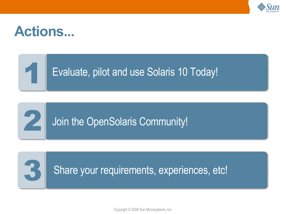

#### **Actions...**

1

2

#### Evaluate, pilot and use Solaris 10 Today!



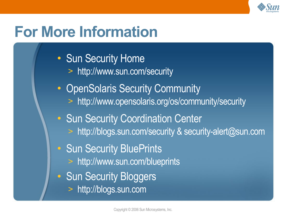

# **For More Information**

- Sun Security Home
	- > <http://www.sun.com/security>
- OpenSolaris Security Community
	- > <http://www.opensolaris.org/os/community/security>
- Sun Security Coordination Center
	- > <http://blogs.sun.com/security> & security-alert@sun.com
- Sun Security BluePrints
	- > <http://www.sun.com/blueprints>
- Sun Security Bloggers
	- > [http://blogs.sun.com](http://blogs.sun.com/)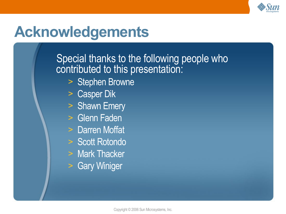

#### **Acknowledgements**

Special thanks to the following people who contributed to this presentation:

- > Stephen Browne
- > Casper Dik
- > Shawn Emery
- > Glenn Faden
- > Darren Moffat
- > Scott Rotondo
- > Mark Thacker
- > Gary Winiger